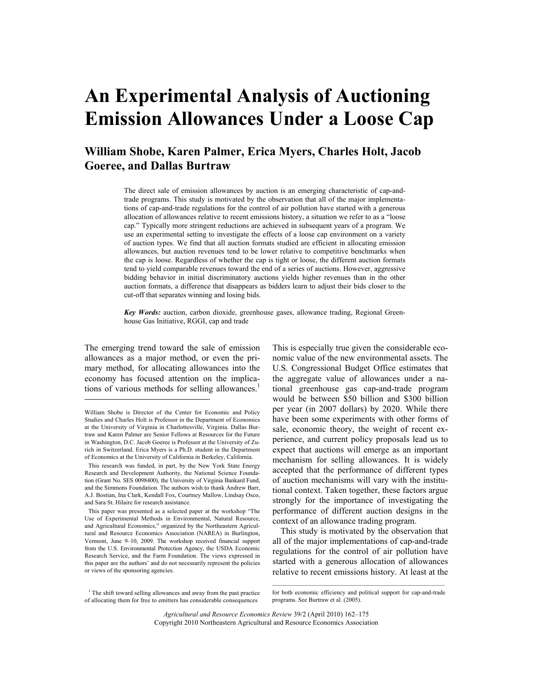# **An Experimental Analysis of Auctioning Emission Allowances Under a Loose Cap**

## **William Shobe, Karen Palmer, Erica Myers, Charles Holt, Jacob Goeree, and Dallas Burtraw**

 The direct sale of emission allowances by auction is an emerging characteristic of cap-andtrade programs. This study is motivated by the observation that all of the major implementations of cap-and-trade regulations for the control of air pollution have started with a generous allocation of allowances relative to recent emissions history, a situation we refer to as a "loose cap." Typically more stringent reductions are achieved in subsequent years of a program. We use an experimental setting to investigate the effects of a loose cap environment on a variety of auction types. We find that all auction formats studied are efficient in allocating emission allowances, but auction revenues tend to be lower relative to competitive benchmarks when the cap is loose. Regardless of whether the cap is tight or loose, the different auction formats tend to yield comparable revenues toward the end of a series of auctions. However, aggressive bidding behavior in initial discriminatory auctions yields higher revenues than in the other auction formats, a difference that disappears as bidders learn to adjust their bids closer to the cut-off that separates winning and losing bids.

*Key Words:* auction, carbon dioxide, greenhouse gases, allowance trading, Regional Greenhouse Gas Initiative, RGGI, cap and trade

The emerging trend toward the sale of emission allowances as a major method, or even the primary method, for allocating allowances into the economy has focused attention on the implications of various methods for selling allowances.<sup>1</sup>

 $\overline{a}$ 

This is especially true given the considerable economic value of the new environmental assets. The U.S. Congressional Budget Office estimates that the aggregate value of allowances under a national greenhouse gas cap-and-trade program would be between \$50 billion and \$300 billion per year (in 2007 dollars) by 2020. While there have been some experiments with other forms of sale, economic theory, the weight of recent experience, and current policy proposals lead us to expect that auctions will emerge as an important mechanism for selling allowances. It is widely accepted that the performance of different types of auction mechanisms will vary with the institutional context. Taken together, these factors argue strongly for the importance of investigating the performance of different auction designs in the context of an allowance trading program.

 This study is motivated by the observation that all of the major implementations of cap-and-trade regulations for the control of air pollution have started with a generous allocation of allowances relative to recent emissions history. At least at the

<sup>1</sup> The shift toward selling allowances and away from the past practice of allocating them for free to emitters has considerable consequences

 $\mathcal{L}_\text{max}$  and the contract of the contract of the contract of the contract of the contract of the contract of the contract of the contract of the contract of the contract of the contract of the contract of the contrac for both economic efficiency and political support for cap-and-trade programs. See Burtraw et al. (2005).

*Agricultural and Resource Economics Review* 39/2 (April 2010) 162–175 Copyright 2010 Northeastern Agricultural and Resource Economics Association

William Shobe is Director of the Center for Economic and Policy Studies and Charles Holt is Professor in the Department of Economics at the University of Virginia in Charlottesville, Virginia. Dallas Burtraw and Karen Palmer are Senior Fellows at Resources for the Future in Washington, D.C. Jacob Goeree is Professor at the University of Zurich in Switzerland. Erica Myers is a Ph.D. student in the Department of Economics at the University of California in Berkeley, California.

This research was funded, in part, by the New York State Energy Research and Development Authority, the National Science Foundation (Grant No. SES 0098400), the University of Virginia Bankard Fund, and the Simmons Foundation. The authors wish to thank Andrew Barr, A.J. Bostian, Ina Clark, Kendall Fox, Courtney Mallow, Lindsay Osco, and Sara St. Hilaire for research assistance.

This paper was presented as a selected paper at the workshop "The Use of Experimental Methods in Environmental, Natural Resource, and Agricultural Economics," organized by the Northeastern Agricultural and Resource Economics Association (NAREA) in Burlington, Vermont, June 9–10, 2009. The workshop received financial support from the U.S. Environmental Protection Agency, the USDA Economic Research Service, and the Farm Foundation. The views expressed in this paper are the authors' and do not necessarily represent the policies or views of the sponsoring agencies.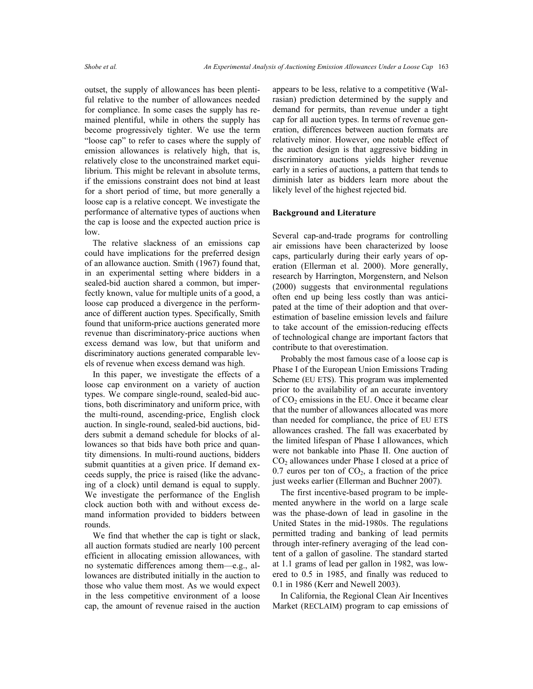outset, the supply of allowances has been plentiful relative to the number of allowances needed for compliance. In some cases the supply has remained plentiful, while in others the supply has become progressively tighter. We use the term "loose cap" to refer to cases where the supply of emission allowances is relatively high, that is, relatively close to the unconstrained market equilibrium. This might be relevant in absolute terms, if the emissions constraint does not bind at least for a short period of time, but more generally a loose cap is a relative concept. We investigate the performance of alternative types of auctions when the cap is loose and the expected auction price is low.

 The relative slackness of an emissions cap could have implications for the preferred design of an allowance auction. Smith (1967) found that, in an experimental setting where bidders in a sealed-bid auction shared a common, but imperfectly known, value for multiple units of a good, a loose cap produced a divergence in the performance of different auction types. Specifically, Smith found that uniform-price auctions generated more revenue than discriminatory-price auctions when excess demand was low, but that uniform and discriminatory auctions generated comparable levels of revenue when excess demand was high.

 In this paper, we investigate the effects of a loose cap environment on a variety of auction types. We compare single-round, sealed-bid auctions, both discriminatory and uniform price, with the multi-round, ascending-price, English clock auction. In single-round, sealed-bid auctions, bidders submit a demand schedule for blocks of allowances so that bids have both price and quantity dimensions. In multi-round auctions, bidders submit quantities at a given price. If demand exceeds supply, the price is raised (like the advancing of a clock) until demand is equal to supply. We investigate the performance of the English clock auction both with and without excess demand information provided to bidders between rounds.

 We find that whether the cap is tight or slack, all auction formats studied are nearly 100 percent efficient in allocating emission allowances, with no systematic differences among them—e.g., allowances are distributed initially in the auction to those who value them most. As we would expect in the less competitive environment of a loose cap, the amount of revenue raised in the auction appears to be less, relative to a competitive (Walrasian) prediction determined by the supply and demand for permits, than revenue under a tight cap for all auction types. In terms of revenue generation, differences between auction formats are relatively minor. However, one notable effect of the auction design is that aggressive bidding in discriminatory auctions yields higher revenue early in a series of auctions, a pattern that tends to diminish later as bidders learn more about the likely level of the highest rejected bid.

#### **Background and Literature**

Several cap-and-trade programs for controlling air emissions have been characterized by loose caps, particularly during their early years of operation (Ellerman et al. 2000). More generally, research by Harrington, Morgenstern, and Nelson (2000) suggests that environmental regulations often end up being less costly than was anticipated at the time of their adoption and that overestimation of baseline emission levels and failure to take account of the emission-reducing effects of technological change are important factors that contribute to that overestimation.

 Probably the most famous case of a loose cap is Phase I of the European Union Emissions Trading Scheme (EU ETS). This program was implemented prior to the availability of an accurate inventory of  $CO<sub>2</sub>$  emissions in the EU. Once it became clear that the number of allowances allocated was more than needed for compliance, the price of EU ETS allowances crashed. The fall was exacerbated by the limited lifespan of Phase I allowances, which were not bankable into Phase II. One auction of  $CO<sub>2</sub>$  allowances under Phase I closed at a price of 0.7 euros per ton of  $CO<sub>2</sub>$ , a fraction of the price just weeks earlier (Ellerman and Buchner 2007).

 The first incentive-based program to be implemented anywhere in the world on a large scale was the phase-down of lead in gasoline in the United States in the mid-1980s. The regulations permitted trading and banking of lead permits through inter-refinery averaging of the lead content of a gallon of gasoline. The standard started at 1.1 grams of lead per gallon in 1982, was lowered to 0.5 in 1985, and finally was reduced to 0.1 in 1986 (Kerr and Newell 2003).

 In California, the Regional Clean Air Incentives Market (RECLAIM) program to cap emissions of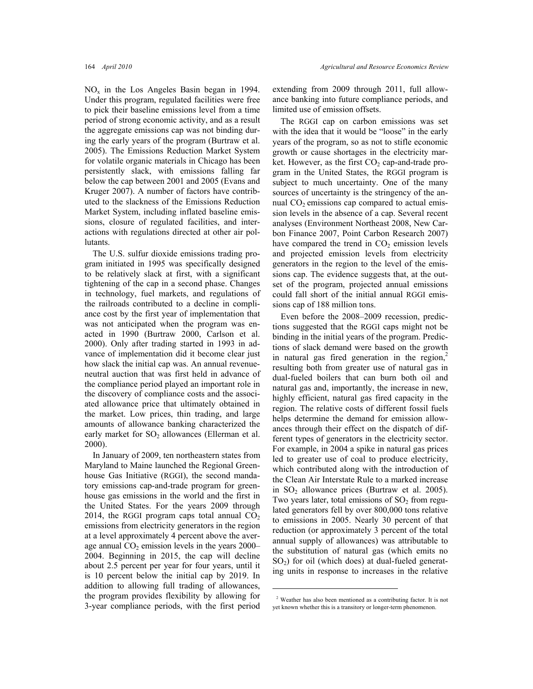$NO<sub>x</sub>$  in the Los Angeles Basin began in 1994. Under this program, regulated facilities were free to pick their baseline emissions level from a time period of strong economic activity, and as a result the aggregate emissions cap was not binding during the early years of the program (Burtraw et al. 2005). The Emissions Reduction Market System for volatile organic materials in Chicago has been persistently slack, with emissions falling far below the cap between 2001 and 2005 (Evans and Kruger 2007). A number of factors have contributed to the slackness of the Emissions Reduction Market System, including inflated baseline emissions, closure of regulated facilities, and interactions with regulations directed at other air pollutants.

 The U.S. sulfur dioxide emissions trading program initiated in 1995 was specifically designed to be relatively slack at first, with a significant tightening of the cap in a second phase. Changes in technology, fuel markets, and regulations of the railroads contributed to a decline in compliance cost by the first year of implementation that was not anticipated when the program was enacted in 1990 (Burtraw 2000, Carlson et al. 2000). Only after trading started in 1993 in advance of implementation did it become clear just how slack the initial cap was. An annual revenueneutral auction that was first held in advance of the compliance period played an important role in the discovery of compliance costs and the associated allowance price that ultimately obtained in the market. Low prices, thin trading, and large amounts of allowance banking characterized the early market for  $SO_2$  allowances (Ellerman et al. 2000).

 In January of 2009, ten northeastern states from Maryland to Maine launched the Regional Greenhouse Gas Initiative (RGGI), the second mandatory emissions cap-and-trade program for greenhouse gas emissions in the world and the first in the United States. For the years 2009 through 2014, the RGGI program caps total annual  $CO<sub>2</sub>$ emissions from electricity generators in the region at a level approximately 4 percent above the average annual  $CO<sub>2</sub>$  emission levels in the years 2000– 2004. Beginning in 2015, the cap will decline about 2.5 percent per year for four years, until it is 10 percent below the initial cap by 2019. In addition to allowing full trading of allowances, the program provides flexibility by allowing for 3-year compliance periods, with the first period extending from 2009 through 2011, full allowance banking into future compliance periods, and limited use of emission offsets.

 The RGGI cap on carbon emissions was set with the idea that it would be "loose" in the early years of the program, so as not to stifle economic growth or cause shortages in the electricity market. However, as the first  $CO<sub>2</sub>$  cap-and-trade program in the United States, the RGGI program is subject to much uncertainty. One of the many sources of uncertainty is the stringency of the annual  $CO<sub>2</sub>$  emissions cap compared to actual emission levels in the absence of a cap. Several recent analyses (Environment Northeast 2008, New Carbon Finance 2007, Point Carbon Research 2007) have compared the trend in  $CO<sub>2</sub>$  emission levels and projected emission levels from electricity generators in the region to the level of the emissions cap. The evidence suggests that, at the outset of the program, projected annual emissions could fall short of the initial annual RGGI emissions cap of 188 million tons.

 Even before the 2008–2009 recession, predictions suggested that the RGGI caps might not be binding in the initial years of the program. Predictions of slack demand were based on the growth in natural gas fired generation in the region, $2\pi$ resulting both from greater use of natural gas in dual-fueled boilers that can burn both oil and natural gas and, importantly, the increase in new, highly efficient, natural gas fired capacity in the region. The relative costs of different fossil fuels helps determine the demand for emission allowances through their effect on the dispatch of different types of generators in the electricity sector. For example, in 2004 a spike in natural gas prices led to greater use of coal to produce electricity, which contributed along with the introduction of the Clean Air Interstate Rule to a marked increase in  $SO_2$  allowance prices (Burtraw et al. 2005). Two years later, total emissions of  $SO<sub>2</sub>$  from regulated generators fell by over 800,000 tons relative to emissions in 2005. Nearly 30 percent of that reduction (or approximately 3 percent of the total annual supply of allowances) was attributable to the substitution of natural gas (which emits no  $SO<sub>2</sub>$ ) for oil (which does) at dual-fueled generating units in response to increases in the relative

 $\overline{a}$ 

<sup>2</sup> Weather has also been mentioned as a contributing factor. It is not yet known whether this is a transitory or longer-term phenomenon.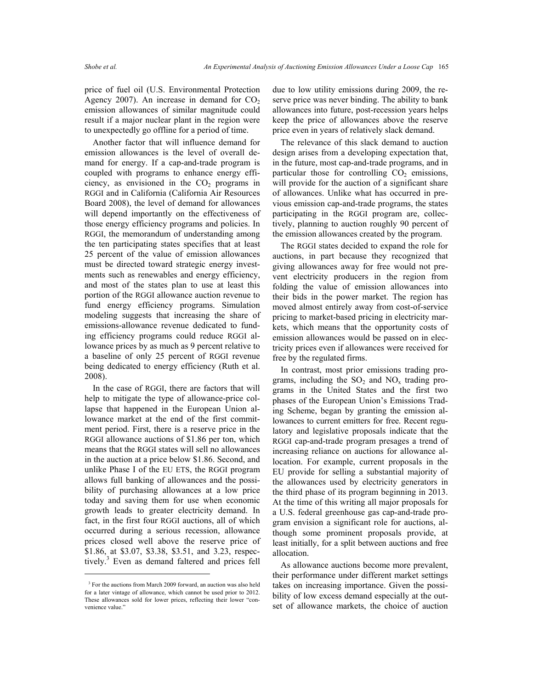price of fuel oil (U.S. Environmental Protection Agency 2007). An increase in demand for  $CO<sub>2</sub>$ emission allowances of similar magnitude could result if a major nuclear plant in the region were to unexpectedly go offline for a period of time.

 Another factor that will influence demand for emission allowances is the level of overall demand for energy. If a cap-and-trade program is coupled with programs to enhance energy efficiency, as envisioned in the  $CO<sub>2</sub>$  programs in RGGI and in California (California Air Resources Board 2008), the level of demand for allowances will depend importantly on the effectiveness of those energy efficiency programs and policies. In RGGI, the memorandum of understanding among the ten participating states specifies that at least 25 percent of the value of emission allowances must be directed toward strategic energy investments such as renewables and energy efficiency, and most of the states plan to use at least this portion of the RGGI allowance auction revenue to fund energy efficiency programs. Simulation modeling suggests that increasing the share of emissions-allowance revenue dedicated to funding efficiency programs could reduce RGGI allowance prices by as much as 9 percent relative to a baseline of only 25 percent of RGGI revenue being dedicated to energy efficiency (Ruth et al. 2008).

 In the case of RGGI, there are factors that will help to mitigate the type of allowance-price collapse that happened in the European Union allowance market at the end of the first commitment period. First, there is a reserve price in the RGGI allowance auctions of \$1.86 per ton, which means that the RGGI states will sell no allowances in the auction at a price below \$1.86. Second, and unlike Phase I of the EU ETS, the RGGI program allows full banking of allowances and the possibility of purchasing allowances at a low price today and saving them for use when economic growth leads to greater electricity demand. In fact, in the first four RGGI auctions, all of which occurred during a serious recession, allowance prices closed well above the reserve price of \$1.86, at \$3.07, \$3.38, \$3.51, and 3.23, respectively.<sup>3</sup> Even as demand faltered and prices fell

 $\overline{a}$ 

due to low utility emissions during 2009, the reserve price was never binding. The ability to bank allowances into future, post-recession years helps keep the price of allowances above the reserve price even in years of relatively slack demand.

 The relevance of this slack demand to auction design arises from a developing expectation that, in the future, most cap-and-trade programs, and in particular those for controlling  $CO<sub>2</sub>$  emissions, will provide for the auction of a significant share of allowances. Unlike what has occurred in previous emission cap-and-trade programs, the states participating in the RGGI program are, collectively, planning to auction roughly 90 percent of the emission allowances created by the program.

 The RGGI states decided to expand the role for auctions, in part because they recognized that giving allowances away for free would not prevent electricity producers in the region from folding the value of emission allowances into their bids in the power market. The region has moved almost entirely away from cost-of-service pricing to market-based pricing in electricity markets, which means that the opportunity costs of emission allowances would be passed on in electricity prices even if allowances were received for free by the regulated firms.

 In contrast, most prior emissions trading programs, including the  $SO_2$  and  $NO_x$  trading programs in the United States and the first two phases of the European Union's Emissions Trading Scheme, began by granting the emission allowances to current emitters for free. Recent regulatory and legislative proposals indicate that the RGGI cap-and-trade program presages a trend of increasing reliance on auctions for allowance allocation. For example, current proposals in the EU provide for selling a substantial majority of the allowances used by electricity generators in the third phase of its program beginning in 2013. At the time of this writing all major proposals for a U.S. federal greenhouse gas cap-and-trade program envision a significant role for auctions, although some prominent proposals provide, at least initially, for a split between auctions and free allocation.

 As allowance auctions become more prevalent, their performance under different market settings takes on increasing importance. Given the possibility of low excess demand especially at the outset of allowance markets, the choice of auction

<sup>&</sup>lt;sup>3</sup> For the auctions from March 2009 forward, an auction was also held for a later vintage of allowance, which cannot be used prior to 2012. These allowances sold for lower prices, reflecting their lower "convenience value."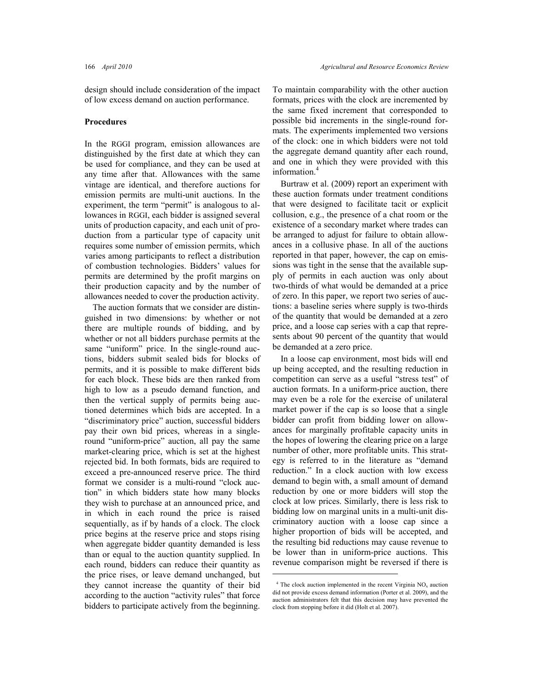design should include consideration of the impact of low excess demand on auction performance.

#### **Procedures**

In the RGGI program, emission allowances are distinguished by the first date at which they can be used for compliance, and they can be used at any time after that. Allowances with the same vintage are identical, and therefore auctions for emission permits are multi-unit auctions. In the experiment, the term "permit" is analogous to allowances in RGGI, each bidder is assigned several units of production capacity, and each unit of production from a particular type of capacity unit requires some number of emission permits, which varies among participants to reflect a distribution of combustion technologies. Bidders' values for permits are determined by the profit margins on their production capacity and by the number of allowances needed to cover the production activity.

 The auction formats that we consider are distinguished in two dimensions: by whether or not there are multiple rounds of bidding, and by whether or not all bidders purchase permits at the same "uniform" price. In the single-round auctions, bidders submit sealed bids for blocks of permits, and it is possible to make different bids for each block. These bids are then ranked from high to low as a pseudo demand function, and then the vertical supply of permits being auctioned determines which bids are accepted. In a "discriminatory price" auction, successful bidders pay their own bid prices, whereas in a singleround "uniform-price" auction, all pay the same market-clearing price, which is set at the highest rejected bid. In both formats, bids are required to exceed a pre-announced reserve price. The third format we consider is a multi-round "clock auction" in which bidders state how many blocks they wish to purchase at an announced price, and in which in each round the price is raised sequentially, as if by hands of a clock. The clock price begins at the reserve price and stops rising when aggregate bidder quantity demanded is less than or equal to the auction quantity supplied. In each round, bidders can reduce their quantity as the price rises, or leave demand unchanged, but they cannot increase the quantity of their bid according to the auction "activity rules" that force bidders to participate actively from the beginning.

To maintain comparability with the other auction formats, prices with the clock are incremented by the same fixed increment that corresponded to possible bid increments in the single-round formats. The experiments implemented two versions of the clock: one in which bidders were not told the aggregate demand quantity after each round, and one in which they were provided with this information.4

 Burtraw et al. (2009) report an experiment with these auction formats under treatment conditions that were designed to facilitate tacit or explicit collusion, e.g., the presence of a chat room or the existence of a secondary market where trades can be arranged to adjust for failure to obtain allowances in a collusive phase. In all of the auctions reported in that paper, however, the cap on emissions was tight in the sense that the available supply of permits in each auction was only about two-thirds of what would be demanded at a price of zero. In this paper, we report two series of auctions: a baseline series where supply is two-thirds of the quantity that would be demanded at a zero price, and a loose cap series with a cap that represents about 90 percent of the quantity that would be demanded at a zero price.

 In a loose cap environment, most bids will end up being accepted, and the resulting reduction in competition can serve as a useful "stress test" of auction formats. In a uniform-price auction, there may even be a role for the exercise of unilateral market power if the cap is so loose that a single bidder can profit from bidding lower on allowances for marginally profitable capacity units in the hopes of lowering the clearing price on a large number of other, more profitable units. This strategy is referred to in the literature as "demand reduction." In a clock auction with low excess demand to begin with, a small amount of demand reduction by one or more bidders will stop the clock at low prices. Similarly, there is less risk to bidding low on marginal units in a multi-unit discriminatory auction with a loose cap since a higher proportion of bids will be accepted, and the resulting bid reductions may cause revenue to be lower than in uniform-price auctions. This revenue comparison might be reversed if there is

 $\overline{a}$ 

 $4$  The clock auction implemented in the recent Virginia  $NO<sub>x</sub>$  auction did not provide excess demand information (Porter et al. 2009), and the auction administrators felt that this decision may have prevented the clock from stopping before it did (Holt et al. 2007).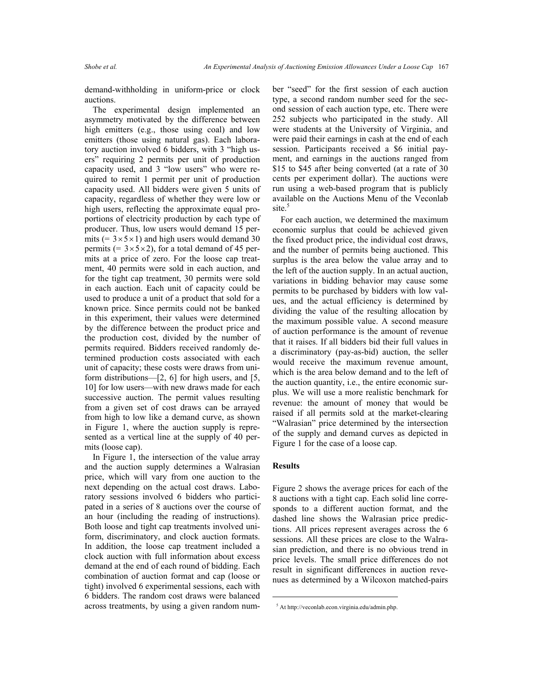demand-withholding in uniform-price or clock auctions.

 The experimental design implemented an asymmetry motivated by the difference between high emitters (e.g., those using coal) and low emitters (those using natural gas). Each laboratory auction involved 6 bidders, with 3 "high users" requiring 2 permits per unit of production capacity used, and 3 "low users" who were required to remit 1 permit per unit of production capacity used. All bidders were given 5 units of capacity, regardless of whether they were low or high users, reflecting the approximate equal proportions of electricity production by each type of producer. Thus, low users would demand 15 permits (=  $3 \times 5 \times 1$ ) and high users would demand 30 permits (=  $3 \times 5 \times 2$ ), for a total demand of 45 permits at a price of zero. For the loose cap treatment, 40 permits were sold in each auction, and for the tight cap treatment, 30 permits were sold in each auction. Each unit of capacity could be used to produce a unit of a product that sold for a known price. Since permits could not be banked in this experiment, their values were determined by the difference between the product price and the production cost, divided by the number of permits required. Bidders received randomly determined production costs associated with each unit of capacity; these costs were draws from uniform distributions—[2, 6] for high users, and [5, 10] for low users—with new draws made for each successive auction. The permit values resulting from a given set of cost draws can be arrayed from high to low like a demand curve, as shown in Figure 1, where the auction supply is represented as a vertical line at the supply of 40 permits (loose cap).

 In Figure 1, the intersection of the value array and the auction supply determines a Walrasian price, which will vary from one auction to the next depending on the actual cost draws. Laboratory sessions involved 6 bidders who participated in a series of 8 auctions over the course of an hour (including the reading of instructions). Both loose and tight cap treatments involved uniform, discriminatory, and clock auction formats. In addition, the loose cap treatment included a clock auction with full information about excess demand at the end of each round of bidding. Each combination of auction format and cap (loose or tight) involved 6 experimental sessions, each with 6 bidders. The random cost draws were balanced across treatments, by using a given random number "seed" for the first session of each auction type, a second random number seed for the second session of each auction type, etc. There were 252 subjects who participated in the study. All were students at the University of Virginia, and were paid their earnings in cash at the end of each session. Participants received a \$6 initial payment, and earnings in the auctions ranged from \$15 to \$45 after being converted (at a rate of 30 cents per experiment dollar). The auctions were run using a web-based program that is publicly available on the Auctions Menu of the Veconlab site.<sup>5</sup>

 For each auction, we determined the maximum economic surplus that could be achieved given the fixed product price, the individual cost draws, and the number of permits being auctioned. This surplus is the area below the value array and to the left of the auction supply. In an actual auction, variations in bidding behavior may cause some permits to be purchased by bidders with low values, and the actual efficiency is determined by dividing the value of the resulting allocation by the maximum possible value. A second measure of auction performance is the amount of revenue that it raises. If all bidders bid their full values in a discriminatory (pay-as-bid) auction, the seller would receive the maximum revenue amount, which is the area below demand and to the left of the auction quantity, i.e., the entire economic surplus. We will use a more realistic benchmark for revenue: the amount of money that would be raised if all permits sold at the market-clearing "Walrasian" price determined by the intersection of the supply and demand curves as depicted in Figure 1 for the case of a loose cap.

### **Results**

 $\overline{a}$ 

Figure 2 shows the average prices for each of the 8 auctions with a tight cap. Each solid line corresponds to a different auction format, and the dashed line shows the Walrasian price predictions. All prices represent averages across the 6 sessions. All these prices are close to the Walrasian prediction, and there is no obvious trend in price levels. The small price differences do not result in significant differences in auction revenues as determined by a Wilcoxon matched-pairs

<sup>5</sup> At http://veconlab.econ.virginia.edu/admin.php.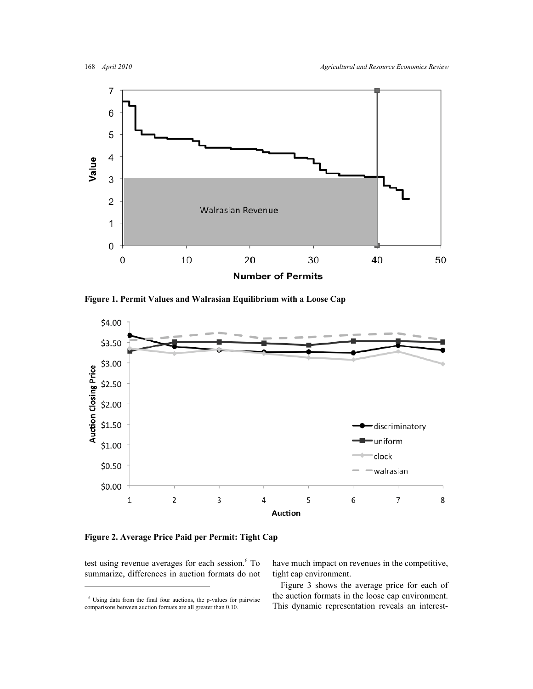

**Figure 1. Permit Values and Walrasian Equilibrium with a Loose Cap** 



**Figure 2. Average Price Paid per Permit: Tight Cap** 

test using revenue averages for each session.<sup>6</sup> To summarize, differences in auction formats do not

 $\overline{a}$ 

have much impact on revenues in the competitive, tight cap environment.

 Figure 3 shows the average price for each of the auction formats in the loose cap environment. This dynamic representation reveals an interest-

<sup>6</sup> Using data from the final four auctions, the p-values for pairwise comparisons between auction formats are all greater than 0.10.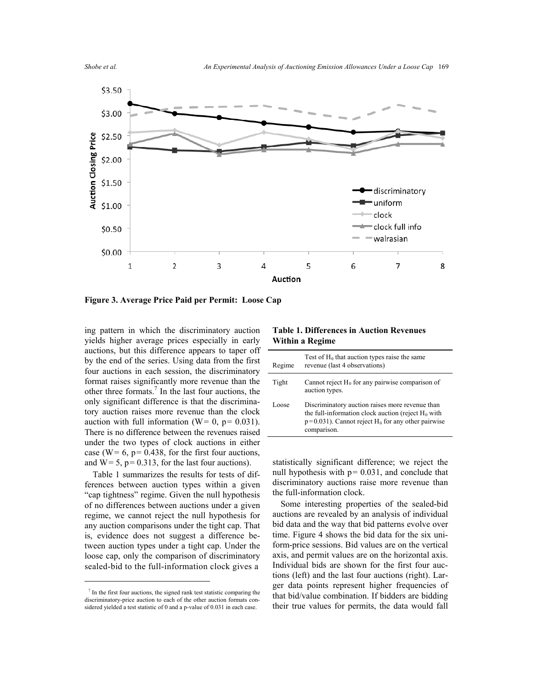

**Figure 3. Average Price Paid per Permit: Loose Cap**

ing pattern in which the discriminatory auction yields higher average prices especially in early auctions, but this difference appears to taper off by the end of the series. Using data from the first four auctions in each session, the discriminatory format raises significantly more revenue than the other three formats.<sup>7</sup> In the last four auctions, the only significant difference is that the discriminatory auction raises more revenue than the clock auction with full information ( $W = 0$ ,  $p = 0.031$ ). There is no difference between the revenues raised under the two types of clock auctions in either case (W=  $6$ , p= 0.438, for the first four auctions, and  $W = 5$ ,  $p = 0.313$ , for the last four auctions).

 Table 1 summarizes the results for tests of differences between auction types within a given "cap tightness" regime. Given the null hypothesis of no differences between auctions under a given regime, we cannot reject the null hypothesis for any auction comparisons under the tight cap. That is, evidence does not suggest a difference between auction types under a tight cap. Under the loose cap, only the comparison of discriminatory sealed-bid to the full-information clock gives a

 $\overline{a}$ 

**Table 1. Differences in Auction Revenues Within a Regime** 

| Regime | Test of $H_0$ that auction types raise the same<br>revenue (last 4 observations)                                                                                                            |
|--------|---------------------------------------------------------------------------------------------------------------------------------------------------------------------------------------------|
| Tight  | Cannot reject $H_0$ for any pairwise comparison of<br>auction types.                                                                                                                        |
| Loose  | Discriminatory auction raises more revenue than<br>the full-information clock auction (reject $H_0$ with<br>$p=0.031$ ). Cannot reject H <sub>0</sub> for any other pairwise<br>comparison. |
|        |                                                                                                                                                                                             |

statistically significant difference; we reject the null hypothesis with  $p = 0.031$ , and conclude that discriminatory auctions raise more revenue than the full-information clock.

 Some interesting properties of the sealed-bid auctions are revealed by an analysis of individual bid data and the way that bid patterns evolve over time. Figure 4 shows the bid data for the six uniform-price sessions. Bid values are on the vertical axis, and permit values are on the horizontal axis. Individual bids are shown for the first four auctions (left) and the last four auctions (right). Larger data points represent higher frequencies of that bid/value combination. If bidders are bidding their true values for permits, the data would fall

<sup>7</sup> In the first four auctions, the signed rank test statistic comparing the discriminatory-price auction to each of the other auction formats considered yielded a test statistic of 0 and a p-value of 0.031 in each case.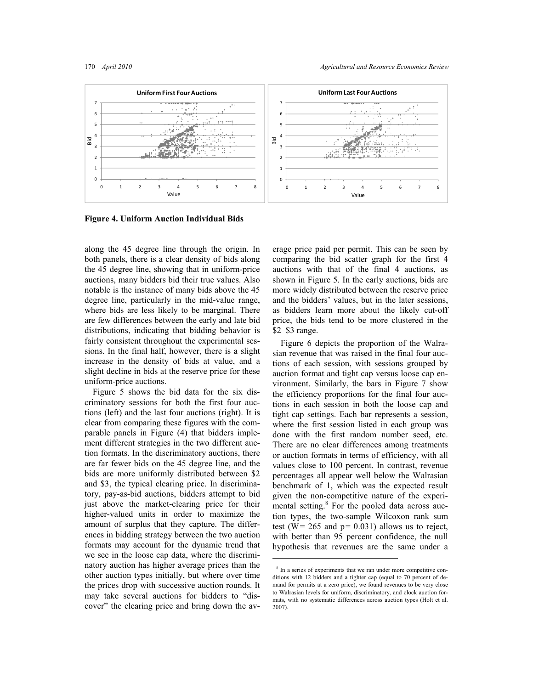

 $\overline{a}$ 

**Figure 4. Uniform Auction Individual Bids** 

along the 45 degree line through the origin. In both panels, there is a clear density of bids along the 45 degree line, showing that in uniform-price auctions, many bidders bid their true values. Also notable is the instance of many bids above the 45 degree line, particularly in the mid-value range, where bids are less likely to be marginal. There are few differences between the early and late bid distributions, indicating that bidding behavior is fairly consistent throughout the experimental sessions. In the final half, however, there is a slight increase in the density of bids at value, and a slight decline in bids at the reserve price for these uniform-price auctions.

 Figure 5 shows the bid data for the six discriminatory sessions for both the first four auctions (left) and the last four auctions (right). It is clear from comparing these figures with the comparable panels in Figure (4) that bidders implement different strategies in the two different auction formats. In the discriminatory auctions, there are far fewer bids on the 45 degree line, and the bids are more uniformly distributed between \$2 and \$3, the typical clearing price. In discriminatory, pay-as-bid auctions, bidders attempt to bid just above the market-clearing price for their higher-valued units in order to maximize the amount of surplus that they capture. The differences in bidding strategy between the two auction formats may account for the dynamic trend that we see in the loose cap data, where the discriminatory auction has higher average prices than the other auction types initially, but where over time the prices drop with successive auction rounds. It may take several auctions for bidders to "discover" the clearing price and bring down the average price paid per permit. This can be seen by comparing the bid scatter graph for the first 4 auctions with that of the final 4 auctions, as shown in Figure 5. In the early auctions, bids are more widely distributed between the reserve price and the bidders' values, but in the later sessions, as bidders learn more about the likely cut-off price, the bids tend to be more clustered in the \$2–\$3 range.

 Figure 6 depicts the proportion of the Walrasian revenue that was raised in the final four auctions of each session, with sessions grouped by auction format and tight cap versus loose cap environment. Similarly, the bars in Figure 7 show the efficiency proportions for the final four auctions in each session in both the loose cap and tight cap settings. Each bar represents a session, where the first session listed in each group was done with the first random number seed, etc. There are no clear differences among treatments or auction formats in terms of efficiency, with all values close to 100 percent. In contrast, revenue percentages all appear well below the Walrasian benchmark of 1, which was the expected result given the non-competitive nature of the experimental setting.<sup>8</sup> For the pooled data across auction types, the two-sample Wilcoxon rank sum test (W= 265 and  $p= 0.031$ ) allows us to reject, with better than 95 percent confidence, the null hypothesis that revenues are the same under a

<sup>&</sup>lt;sup>8</sup> In a series of experiments that we ran under more competitive conditions with 12 bidders and a tighter cap (equal to 70 percent of demand for permits at a zero price), we found revenues to be very close to Walrasian levels for uniform, discriminatory, and clock auction formats, with no systematic differences across auction types (Holt et al. 2007).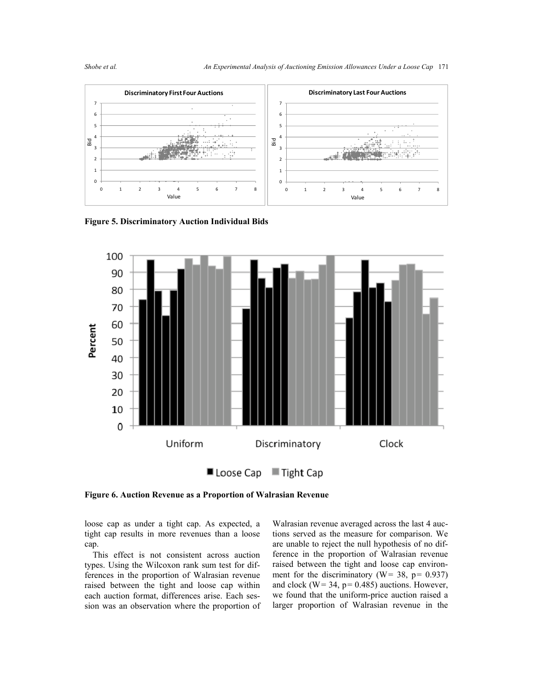



**Figure 5. Discriminatory Auction Individual Bids** 



■ Loose Cap  $\blacksquare$  Tight Cap

**Figure 6. Auction Revenue as a Proportion of Walrasian Revenue**

loose cap as under a tight cap. As expected, a tight cap results in more revenues than a loose cap.

 This effect is not consistent across auction types. Using the Wilcoxon rank sum test for differences in the proportion of Walrasian revenue raised between the tight and loose cap within each auction format, differences arise. Each session was an observation where the proportion of Walrasian revenue averaged across the last 4 auctions served as the measure for comparison. We are unable to reject the null hypothesis of no difference in the proportion of Walrasian revenue raised between the tight and loose cap environment for the discriminatory ( $W = 38$ ,  $p = 0.937$ ) and clock ( $W = 34$ ,  $p = 0.485$ ) auctions. However, we found that the uniform-price auction raised a larger proportion of Walrasian revenue in the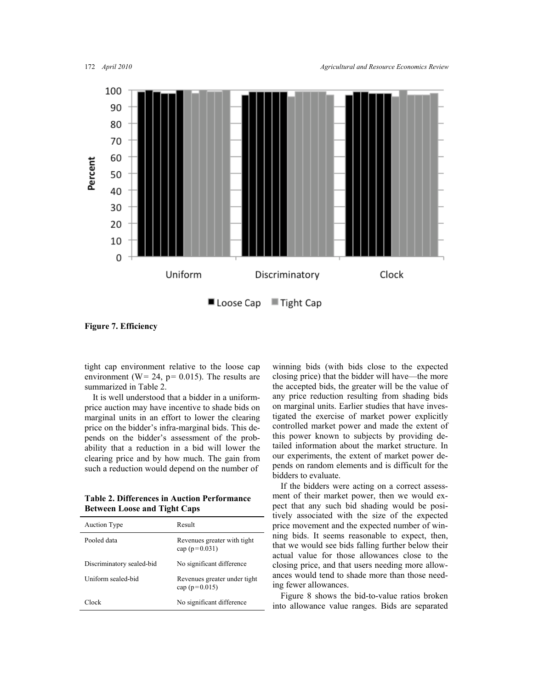

**Figure 7. Efficiency**

tight cap environment relative to the loose cap environment ( $W = 24$ ,  $p = 0.015$ ). The results are summarized in Table 2.

 It is well understood that a bidder in a uniformprice auction may have incentive to shade bids on marginal units in an effort to lower the clearing price on the bidder's infra-marginal bids. This depends on the bidder's assessment of the probability that a reduction in a bid will lower the clearing price and by how much. The gain from such a reduction would depend on the number of

**Table 2. Differences in Auction Performance Between Loose and Tight Caps** 

| <b>Auction Type</b>       | Result                                            |
|---------------------------|---------------------------------------------------|
| Pooled data               | Revenues greater with tight<br>cap ( $p=0.031$ )  |
| Discriminatory sealed-bid | No significant difference                         |
| Uniform sealed-bid        | Revenues greater under tight<br>cap ( $p=0.015$ ) |
| Clock                     | No significant difference                         |

winning bids (with bids close to the expected closing price) that the bidder will have—the more the accepted bids, the greater will be the value of any price reduction resulting from shading bids on marginal units. Earlier studies that have investigated the exercise of market power explicitly controlled market power and made the extent of this power known to subjects by providing detailed information about the market structure. In our experiments, the extent of market power depends on random elements and is difficult for the bidders to evaluate.

 If the bidders were acting on a correct assessment of their market power, then we would expect that any such bid shading would be positively associated with the size of the expected price movement and the expected number of winning bids. It seems reasonable to expect, then, that we would see bids falling further below their actual value for those allowances close to the closing price, and that users needing more allowances would tend to shade more than those needing fewer allowances.

 Figure 8 shows the bid-to-value ratios broken into allowance value ranges. Bids are separated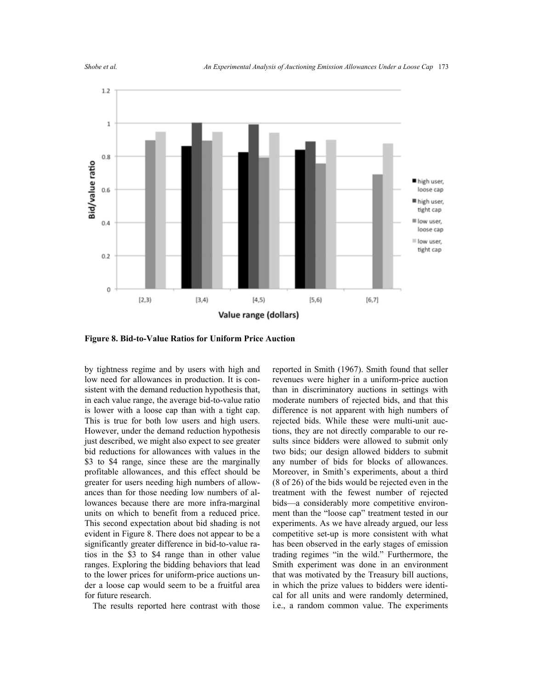

**Figure 8. Bid-to-Value Ratios for Uniform Price Auction** 

by tightness regime and by users with high and low need for allowances in production. It is consistent with the demand reduction hypothesis that, in each value range, the average bid-to-value ratio is lower with a loose cap than with a tight cap. This is true for both low users and high users. However, under the demand reduction hypothesis just described, we might also expect to see greater bid reductions for allowances with values in the \$3 to \$4 range, since these are the marginally profitable allowances, and this effect should be greater for users needing high numbers of allowances than for those needing low numbers of allowances because there are more infra-marginal units on which to benefit from a reduced price. This second expectation about bid shading is not evident in Figure 8. There does not appear to be a significantly greater difference in bid-to-value ratios in the \$3 to \$4 range than in other value ranges. Exploring the bidding behaviors that lead to the lower prices for uniform-price auctions under a loose cap would seem to be a fruitful area for future research.

The results reported here contrast with those

reported in Smith (1967). Smith found that seller revenues were higher in a uniform-price auction than in discriminatory auctions in settings with moderate numbers of rejected bids, and that this difference is not apparent with high numbers of rejected bids. While these were multi-unit auctions, they are not directly comparable to our results since bidders were allowed to submit only two bids; our design allowed bidders to submit any number of bids for blocks of allowances. Moreover, in Smith's experiments, about a third (8 of 26) of the bids would be rejected even in the treatment with the fewest number of rejected bids—a considerably more competitive environment than the "loose cap" treatment tested in our experiments. As we have already argued, our less competitive set-up is more consistent with what has been observed in the early stages of emission trading regimes "in the wild." Furthermore, the Smith experiment was done in an environment that was motivated by the Treasury bill auctions, in which the prize values to bidders were identical for all units and were randomly determined, i.e., a random common value. The experiments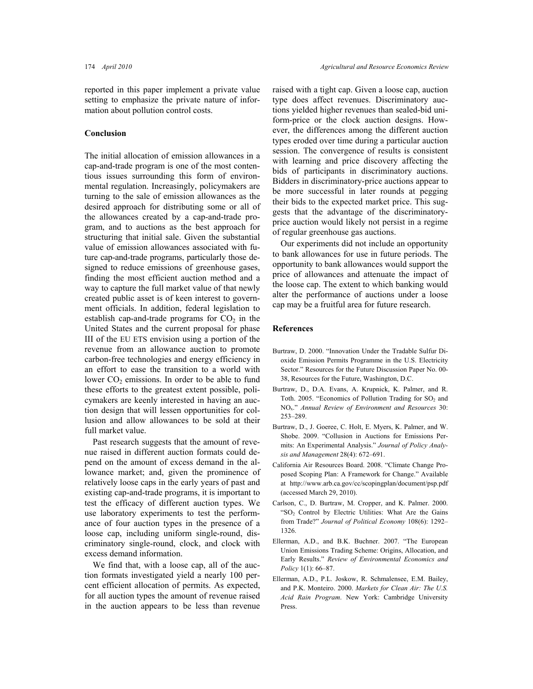reported in this paper implement a private value setting to emphasize the private nature of information about pollution control costs.

#### **Conclusion**

The initial allocation of emission allowances in a cap-and-trade program is one of the most contentious issues surrounding this form of environmental regulation. Increasingly, policymakers are turning to the sale of emission allowances as the desired approach for distributing some or all of the allowances created by a cap-and-trade program, and to auctions as the best approach for structuring that initial sale. Given the substantial value of emission allowances associated with future cap-and-trade programs, particularly those designed to reduce emissions of greenhouse gases, finding the most efficient auction method and a way to capture the full market value of that newly created public asset is of keen interest to government officials. In addition, federal legislation to establish cap-and-trade programs for  $CO<sub>2</sub>$  in the United States and the current proposal for phase III of the EU ETS envision using a portion of the revenue from an allowance auction to promote carbon-free technologies and energy efficiency in an effort to ease the transition to a world with lower  $CO<sub>2</sub>$  emissions. In order to be able to fund these efforts to the greatest extent possible, policymakers are keenly interested in having an auction design that will lessen opportunities for collusion and allow allowances to be sold at their full market value.

 Past research suggests that the amount of revenue raised in different auction formats could depend on the amount of excess demand in the allowance market; and, given the prominence of relatively loose caps in the early years of past and existing cap-and-trade programs, it is important to test the efficacy of different auction types. We use laboratory experiments to test the performance of four auction types in the presence of a loose cap, including uniform single-round, discriminatory single-round, clock, and clock with excess demand information.

 We find that, with a loose cap, all of the auction formats investigated yield a nearly 100 percent efficient allocation of permits. As expected, for all auction types the amount of revenue raised in the auction appears to be less than revenue raised with a tight cap. Given a loose cap, auction type does affect revenues. Discriminatory auctions yielded higher revenues than sealed-bid uniform-price or the clock auction designs. However, the differences among the different auction types eroded over time during a particular auction session. The convergence of results is consistent with learning and price discovery affecting the bids of participants in discriminatory auctions. Bidders in discriminatory-price auctions appear to be more successful in later rounds at pegging their bids to the expected market price. This suggests that the advantage of the discriminatoryprice auction would likely not persist in a regime of regular greenhouse gas auctions.

 Our experiments did not include an opportunity to bank allowances for use in future periods. The opportunity to bank allowances would support the price of allowances and attenuate the impact of the loose cap. The extent to which banking would alter the performance of auctions under a loose cap may be a fruitful area for future research.

#### **References**

- Burtraw, D. 2000. "Innovation Under the Tradable Sulfur Dioxide Emission Permits Programme in the U.S. Electricity Sector." Resources for the Future Discussion Paper No. 00- 38, Resources for the Future, Washington, D.C.
- Burtraw, D., D.A. Evans, A. Krupnick, K. Palmer, and R. Toth. 2005. "Economics of Pollution Trading for  $SO_2$  and NOx." *Annual Review of Environment and Resources* 30: 253–289.
- Burtraw, D., J. Goeree, C. Holt, E. Myers, K. Palmer, and W. Shobe. 2009. "Collusion in Auctions for Emissions Permits: An Experimental Analysis." *Journal of Policy Analysis and Management* 28(4): 672–691.
- California Air Resources Board. 2008. "Climate Change Proposed Scoping Plan: A Framework for Change." Available at http://www.arb.ca.gov/cc/scopingplan/document/psp.pdf (accessed March 29, 2010).
- Carlson, C., D. Burtraw, M. Cropper, and K. Palmer. 2000. "SO<sub>2</sub> Control by Electric Utilities: What Are the Gains from Trade?" *Journal of Political Economy* 108(6): 1292– 1326.
- Ellerman, A.D., and B.K. Buchner. 2007. "The European Union Emissions Trading Scheme: Origins, Allocation, and Early Results." *Review of Environmental Economics and Policy* 1(1): 66–87.
- Ellerman, A.D., P.L. Joskow, R. Schmalensee, E.M. Bailey, and P.K. Monteiro. 2000. *Markets for Clean Air: The U.S. Acid Rain Program*. New York: Cambridge University Press.